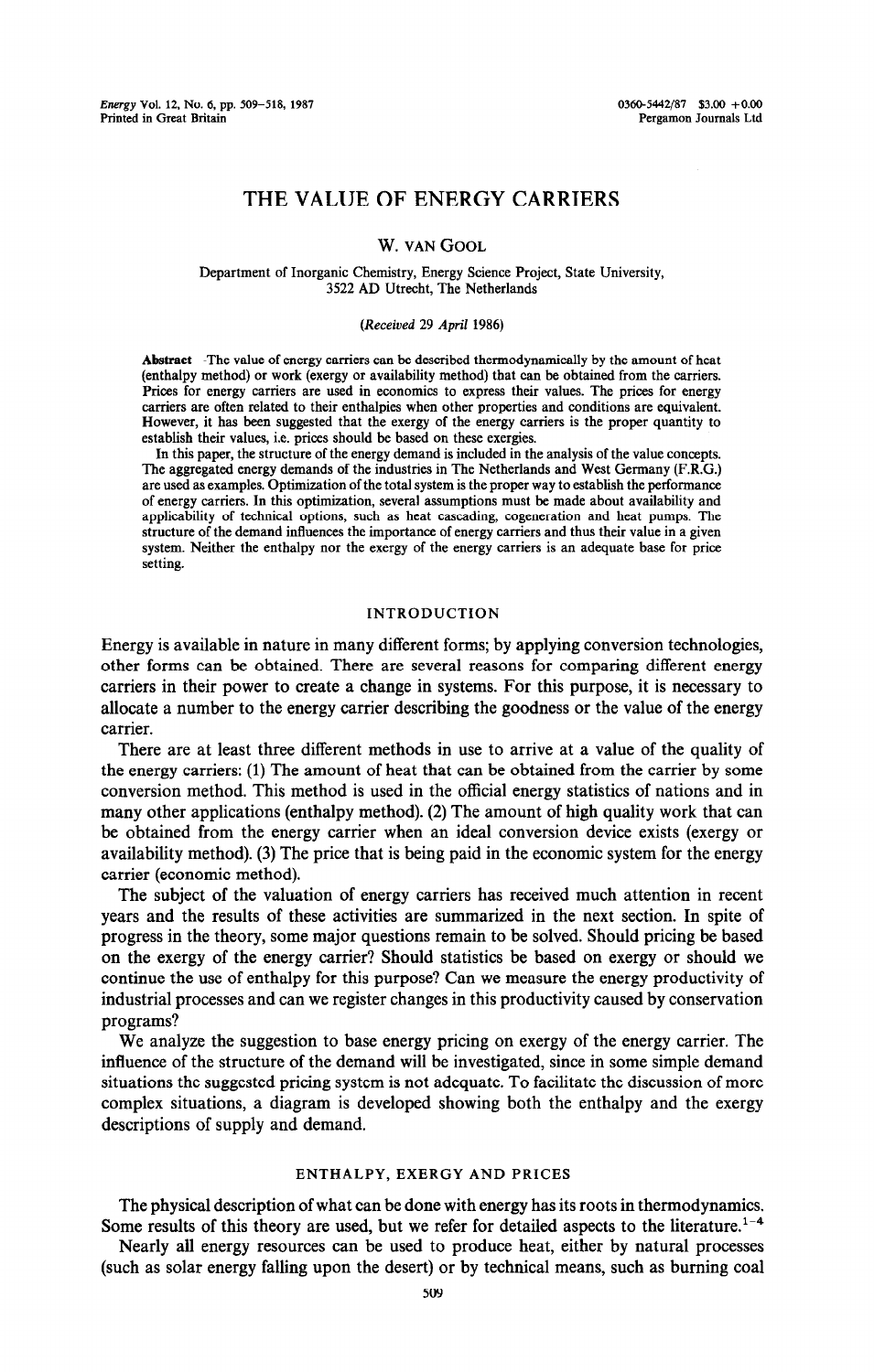# THE VALUE OF ENERGY CARRIERS

## w. VAN GOOL

### Department of Inorganic Chemistry, Energy Science Project, State University, 3522 AD Utrecht, The Netherlands

### *(Received 29 April 1986)*

Abstract-The value of energy carriers can be described thermodynamically by the amount of heat (enthalpy method) or work (exergy or availability method) that can be obtained from the carriers. Prices for energy carriers are used in economics to express their values. The prices for energy carriers are often related to their enthalpies when other properties and conditions are equivalent. However, it has been suggested that the exergy of the energy carriers is the proper quantity to establish their values, i.e. prices should be based on these exergies.

In this paper, the structure of the energy demand is included in the analysis of the value concepts. The aggregated energy demands of the industries in The Netherlands and West Germany (F.R.G.) are used as examples. Optimization of the total system is the proper way to establish the performance of energy carriers. In this optimization, several assumptions must be made about availability and applicability of technical options, such as heat cascading, cogeneration and heat pumps. The structure of the demand influences the importance of energy carriers and thus their value in a given system. Neither the enthalpy nor the exergy of the energy carriers is an adequate base for price setting.

### INTRODUCTION

Energy is available in nature in many different forms; by applying conversion technologies, other forms can be obtained. There are several reasons for comparing different energy carriers in their power to create a change in systems. For this purpose, it is necessary to allocate a number to the energy carrier describing the goodness or the value of the energy carrier.

There are at least three different methods in use to arrive at a value of the quality of the energy carriers: (1) The amount of heat that can be obtained from the carrier by some conversion method. This method is used in the official energy statistics of nations and in many other applications (enthalpy method). (2) The amount of high quality work that can be obtained from the energy carrier when an ideal conversion device exists (exergy or availability method). (3) The price that is being paid in the economic system for the energy carrier (economic method).

The subject of the valuation of energy carriers has received much attention in recent years and the results of these activities are summarized in the next section. In spite of progress in the theory, some major questions remain to be solved. Should pricing be based on the exergy of the energy carrier? Should statistics be based on exergy or should we continue the use of enthalpy for this purpose? Can we measure the energy productivity of industrial processes and can we register changes in this productivity caused by conservation programs?

We analyze the suggestion to base energy pricing on exergy of the energy carrier. The influence of the structure of the demand will be investigated, since in some simple demand situations the suggested pricing system is not adequate. To facilitate the discussion of more complex situations, a diagram is developed showing both the enthalpy and the exergy descriptions of supply and demand.

## ENTHALPY, EXERGY AND PRICES

The physical description of what can be done with energy has its roots in thermodynamics. Some results of this theory are used, but we refer for detailed aspects to the literature.<sup>1-4</sup>

Nearly all energy resources can be used to produce heat, either by natural processes (such as solar energy falling upon the desert) or by technical means, such as burning coal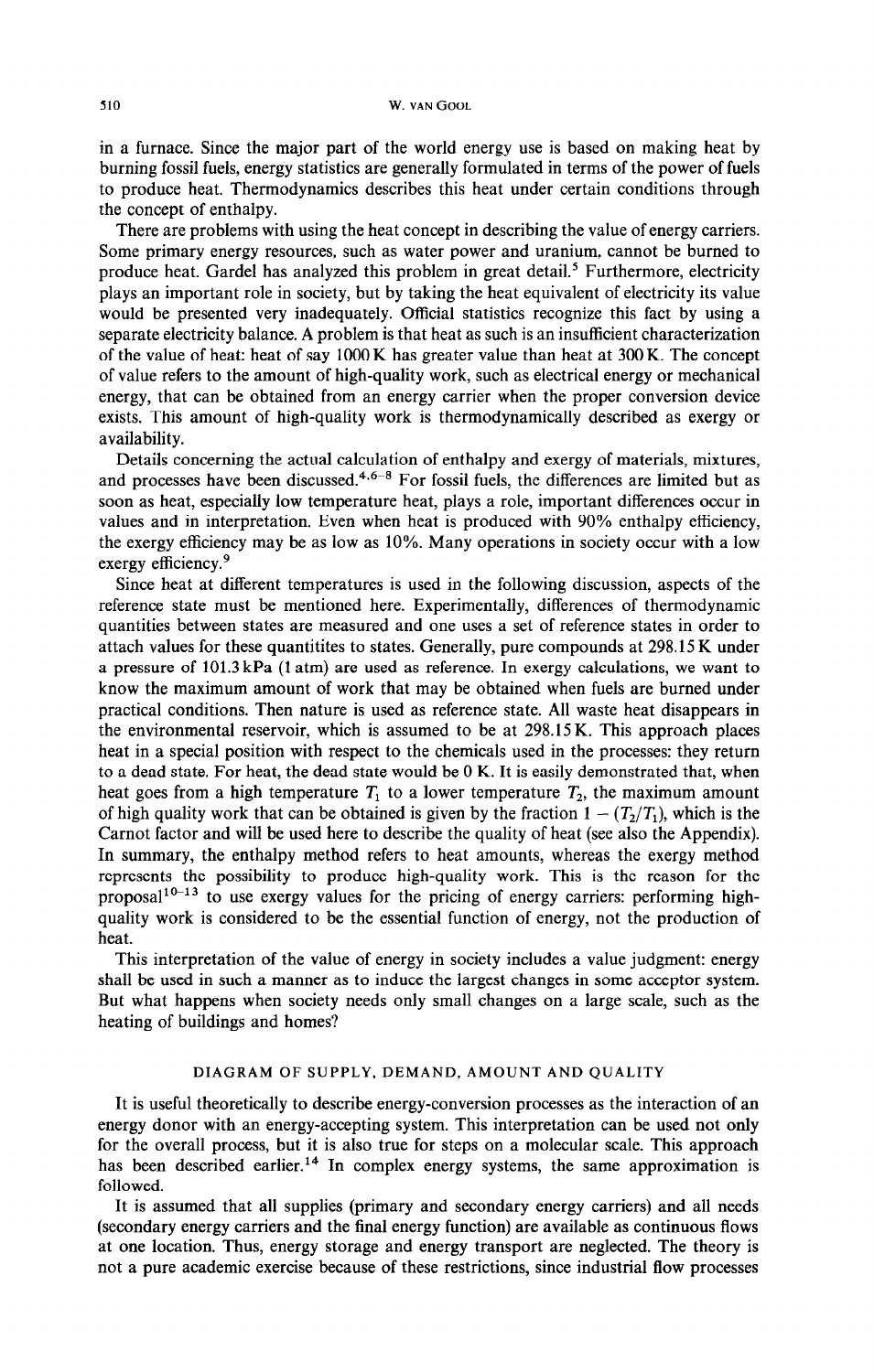in a furnace. Since the major part of the world energy use is based on making heat by burning fossil fuels, energy statistics are generally formulated in terms of the power of fuels to produce heat. Thermodynamics describes this heat under certain conditions through the concept of enthalpy.

There are problems with using the heat concept in describing the value of energy carriers. Some primary energy resources, such as water power and uranium, cannot be burned to produce heat. Gardel has analyzed this problem in great detail.<sup>5</sup> Furthermore, electricity plays an important role in society, but by taking the heat equivalent of electricity its value would be presented very inadequately. Official statistics recognize this fact by using a separate electricity balance. A problem is that heat as such is an insufficient characterization of the value of heat: heat of say  $1000K$  has greater value than heat at  $300K$ . The concept of value refers to the amount of high-quality work, such as electrical energy or mechanical energy, that can be obtained from an energy carrier when the proper conversion device exists. This amount of high-quality work is thermodynamically described as exergy or availability.

Details concerning the actual calculation of enthalpy and exergy of materials, mixtures, and processes have been discussed.<sup>4,6-8</sup> For fossil fuels, the differences are limited but as soon as heat, especially low temperature heat, plays a role, important differences occur in values and in interpretation. Even when heat is produced with 90% enthalpy efficiency, the exergy efficiency may be as low as 10%. Many operations in society occur with a low exergy efficiency.<sup>9</sup>

Since heat at different temperatures is used in the following discussion, aspects of the reference state must be mentioned here. Experimentally, differences of thermodynamic quantities between states are measured and one uses a set of reference states in order to attach values for these quantitites to states. Generally, pure compounds at 298.15 K under a pressure of 101.3 kPa (1 atm) are used as reference. In exergy calculations, we want to know the maximum amount of work that may be obtained when fuels are burned under practical conditions. Then nature is used as reference state. All waste heat disappears in the environmental reservoir, which is assumed to be at 298.15 K. This approach places heat in a special position with respect to the chemicals used in the processes: they return to a dead state. For heat, the dead state would be 0 K. It is easily demonstrated that, when heat goes from a high temperature  $T_1$  to a lower temperature  $T_2$ , the maximum amount of high quality work that can be obtained is given by the fraction  $1 - (T_2/T_1)$ , which is the Carnot factor and will be used here to describe the quality of heat (see also the Appendix). In summary, the enthalpy method refers to heat amounts, whereas the exergy method represents the possibility to produce high-quality work. This is the reason for the proposal<sup>10-13</sup> to use exergy values for the pricing of energy carriers: performing highquality work is considered to be the essential function of energy, not the production of heat.

This interpretation of the value of energy in society includes a value judgment: energy shall be used in such a manner as to induce the largest changes in some acceptor system. But what happens when society needs only small changes on a large scale, such as the heating of buildings and homes?

### **DIAGRAM OF SUPPLY, DEMAND, AMOUNT AND QUALITY**

It is useful theoretically to describe energy-conversion processes as the interaction of an energy donor with an energy-accepting system. This interpretation can be used not only for the overall process, but it is also true for steps on a molecular scale. This approach has been described earlier.<sup>14</sup> In complex energy systems, the same approximation is followed.

It is assumed that all supplies (primary and secondary energy carriers) and all needs (secondary energy carriers and the final energy function) are available as continuous flows at one location. Thus, energy storage and energy transport are neglected. The theory is not a pure academic exercise because of these restrictions, since industrial flow processes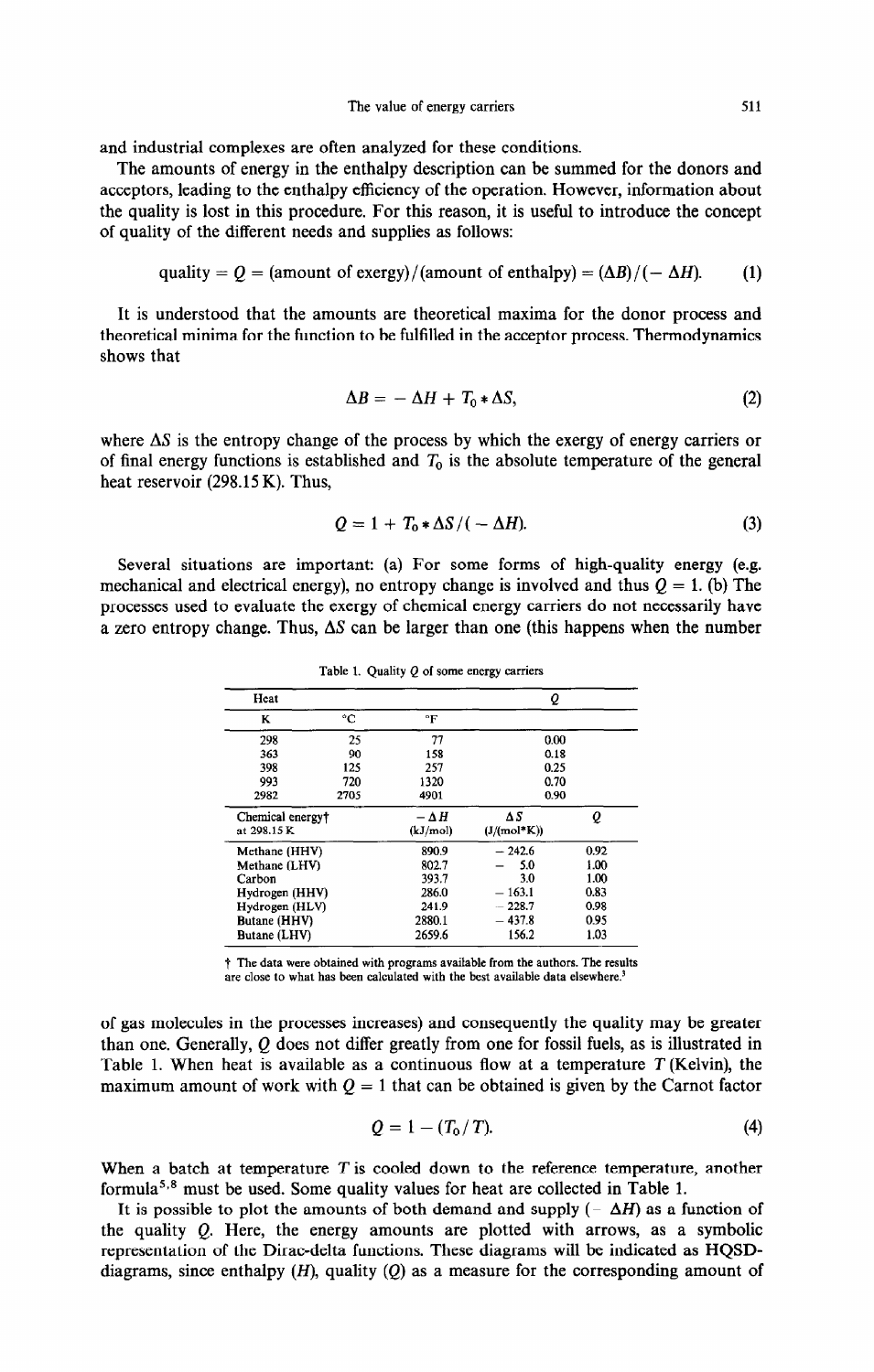and industrial complexes are often analyzed for these conditions.

The amounts of energy in the enthalpy description can be summed for the donors and acceptors, leading to the enthalpy efficiency of the operation. However, information about the quality is lost in this procedure. For this reason, it is useful to introduce the concept of quality of the different needs and supplies as follows:

quality = 
$$
Q = \frac{\text{(amount of exergy)}}{\text{(amount of enthalpy)}} = \frac{\Delta B}{\text{-(} - \Delta H)}
$$
. (1)

It is understood that the amounts are theoretical maxima for the donor process and theoretical minima for the function to be fulfilled in the acceptor process. Thermodynamics shows that

$$
\Delta B = -\Delta H + T_0 \ast \Delta S, \tag{2}
$$

where  $\Delta S$  is the entropy change of the process by which the exergy of energy carriers or of final energy functions is established and  $T_0$  is the absolute temperature of the general heat reservoir (298.15 K). Thus,

$$
Q = 1 + T_0 * \Delta S / (-\Delta H). \tag{3}
$$

Several situations are important: (a) For some forms of high-quality energy (e.g. mechanical and electrical energy), no entropy change is involved and thus  $Q = 1$ . (b) The processes **used** to evaluate the exergy of chemical energy carriers do not necessarily have a zero entropy change. Thus,  $\Delta S$  can be larger than one (this happens when the number

| Heat                                        |      | Q                       |                     |      |
|---------------------------------------------|------|-------------------------|---------------------|------|
| K                                           | °C   | °F                      |                     |      |
| 298                                         | 25   | 77                      | 0.00                |      |
| 363                                         | 90   | 158                     | 0.18                |      |
| 398                                         | 125  | 257                     | 0.25                |      |
| 993                                         | 720  | 1320                    | 0.70                |      |
| 2982                                        | 2705 | 4901                    | 0.90                |      |
| Chemical energy <sup>+</sup><br>at 298.15 K |      | $-\Delta H$<br>(kJ/mol) | ΔS<br>$(J/(mol*K))$ | Q    |
| Methane (HHV)                               |      | 890.9                   | $-242.6$            | 0.92 |
| Methane (LHV)                               |      | 802.7                   | 5.0                 | 1.00 |
| Carbon                                      |      | 393.7                   | 3.0                 | 1.00 |
| Hydrogen (HHV)                              |      | 286.0                   | $-163.1$            | 0.83 |
| Hydrogen (HLV)                              |      | 241.9                   | $-228.7$            | 0.98 |
| Butane (HHV)                                |      | 2880.1                  | $-437.8$            | 0.95 |
| Butane (LHV)                                |      | 2659.6                  | 156.2               | 1.03 |

Table 1. Quality Q of some energy carriers

t The data were obtained with programs avaifable from the authors. The results are close to what has been calculated with the best available data elsewhere.<sup>3</sup>

of gas molecules in the processes increases) and consequently the quality may be greater than one. Generally,  $Q$  does not differ greatly from one for fossil fuels, as is illustrated in Table 1. When heat is available as a continuous flow at a temperature  $T$  (Kelvin), the maximum amount of work with  $Q = 1$  that can be obtained is given by the Carnot factor

$$
Q = 1 - (T_0/T). \tag{4}
$$

When a batch at temperature *T* is cooled down to the reference temperature, another formula<sup>5,8</sup> must be used. Some quality values for heat are collected in Table 1.

It is possible to plot the amounts of both demand and supply  $(-\Delta H)$  as a function of the quality  $Q$ . Here, the energy amounts are plotted with arrows, as a symbolic representation of the Dirac-delta functions. These diagrams will be indicated as HQSDdiagrams, since enthalpy  $(H)$ , quality  $(Q)$  as a measure for the corresponding amount of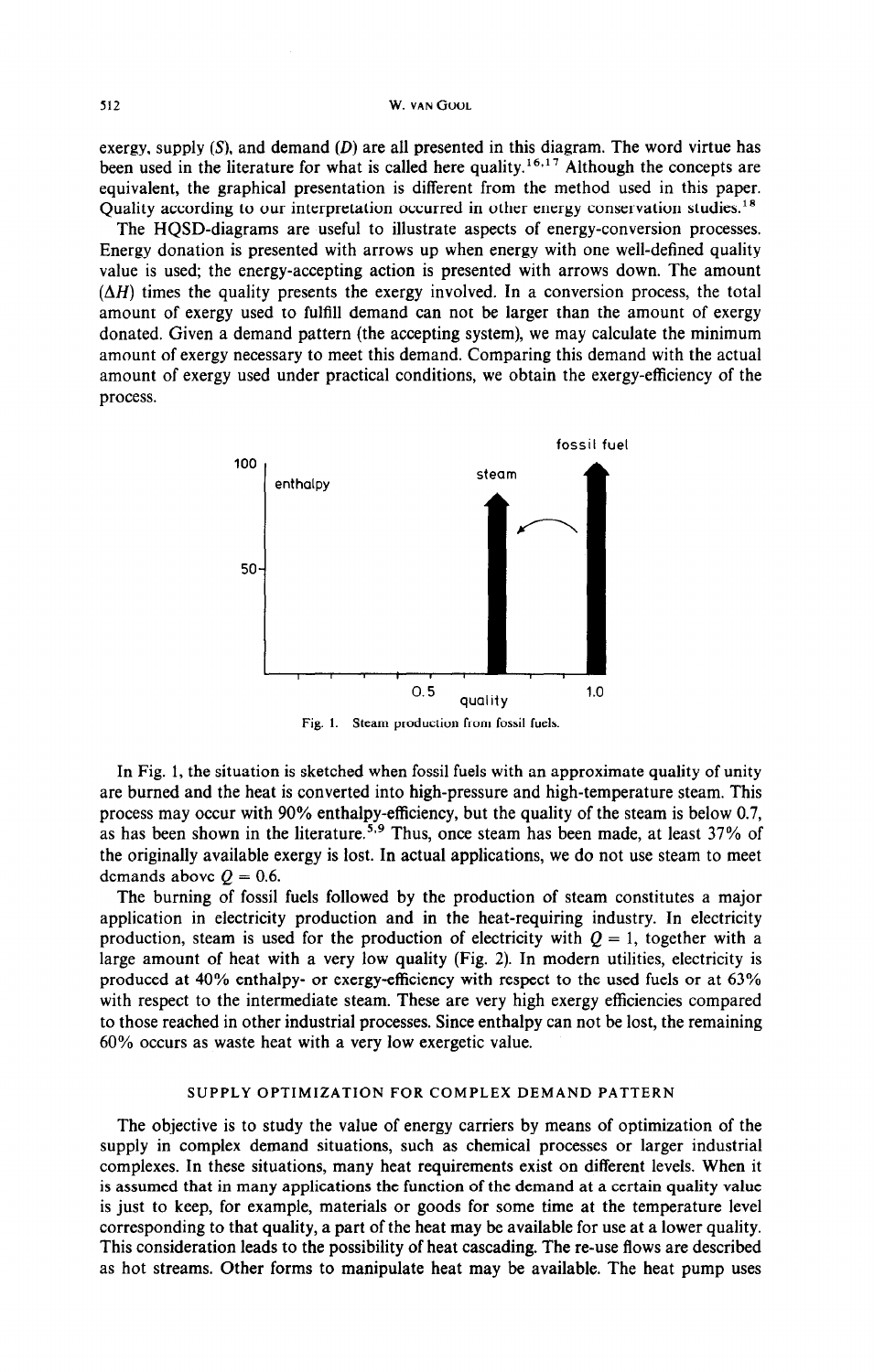exergy, supply  $(S)$ , and demand  $(D)$  are all presented in this diagram. The word virtue has been used in the literature for what is called here quality.<sup>16,17</sup> Although the concepts are equivalent, the graphical presentation is different from the method used in this paper. Quality according to our interpretation occurred in other energy conservation studies.<sup>18</sup>

The HQSD-diagrams are useful to illustrate aspects of energy-conversion processes. Energy donation is presented with arrows up when energy with one well-defined quality value is used; the energy-accepting action is presented with arrows down. The amount  $(\Delta H)$  times the quality presents the exergy involved. In a conversion process, the total amount of exergy used to fulfill demand can not be larger than the amount of exergy donated. Given a demand pattern (the accepting system), we may calculate the minimum amount of exergy necessary to meet this demand. Comparing this demand with the actual amount of exergy used under practical conditions, we obtain the exergy-efficiency of the process.



Fig. 1. Steam production from fossil fuels.

In Fig. 1, the situation is sketched when fossil fuels with an approximate quality of unity are burned and the heat is converted into high-pressure and high-temperature steam. This process may occur with 90% enthalpy-efficiency, but the quality of the steam is below 0.7, as has been shown in the literature.<sup>5,9</sup> Thus, once steam has been made, at least 37% of the originally available exergy is lost. In actual applications, we do not use steam to meet demands above  $Q = 0.6$ .

The burning of fossil fuels followed by the production of steam constitutes a major application in electricity production and in the heat-requiring industry. In electricity production, steam is used for the production of electricity with  $Q = 1$ , together with a large amount of heat with a very low quality (Fig. 2). In modern utilities, electricity is produced at 40% enthalpy- or exergy-efficiency with respect to the used fuels or at 63% with respect to the intermediate steam. These are very high exergy efficiencies compared to those reached in other industrial processes. Since enthalpy can not be lost, the remaining 60% occurs as waste heat with a very low exergetic value.

### SUPPLY OPTIMIZATION FOR COMPLEX DEMAND PATTERN

The objective is to study the value of energy carriers by means of optimization of the supply in complex demand situations, such as chemical processes or larger industrial complexes. In these situations, many heat requirements exist on different levels. When it is assumed that in many applications the function of the demand at a certain quality value is just to keep, for example, materials or goods for some time at the temperature level corresponding to that quality, a part of the heat may be available for use at a lower quality. This consideration leads to the possibility of heat cascading. The re-use flows are described as hot streams. Other forms to manipulate heat may be available. The heat pump uses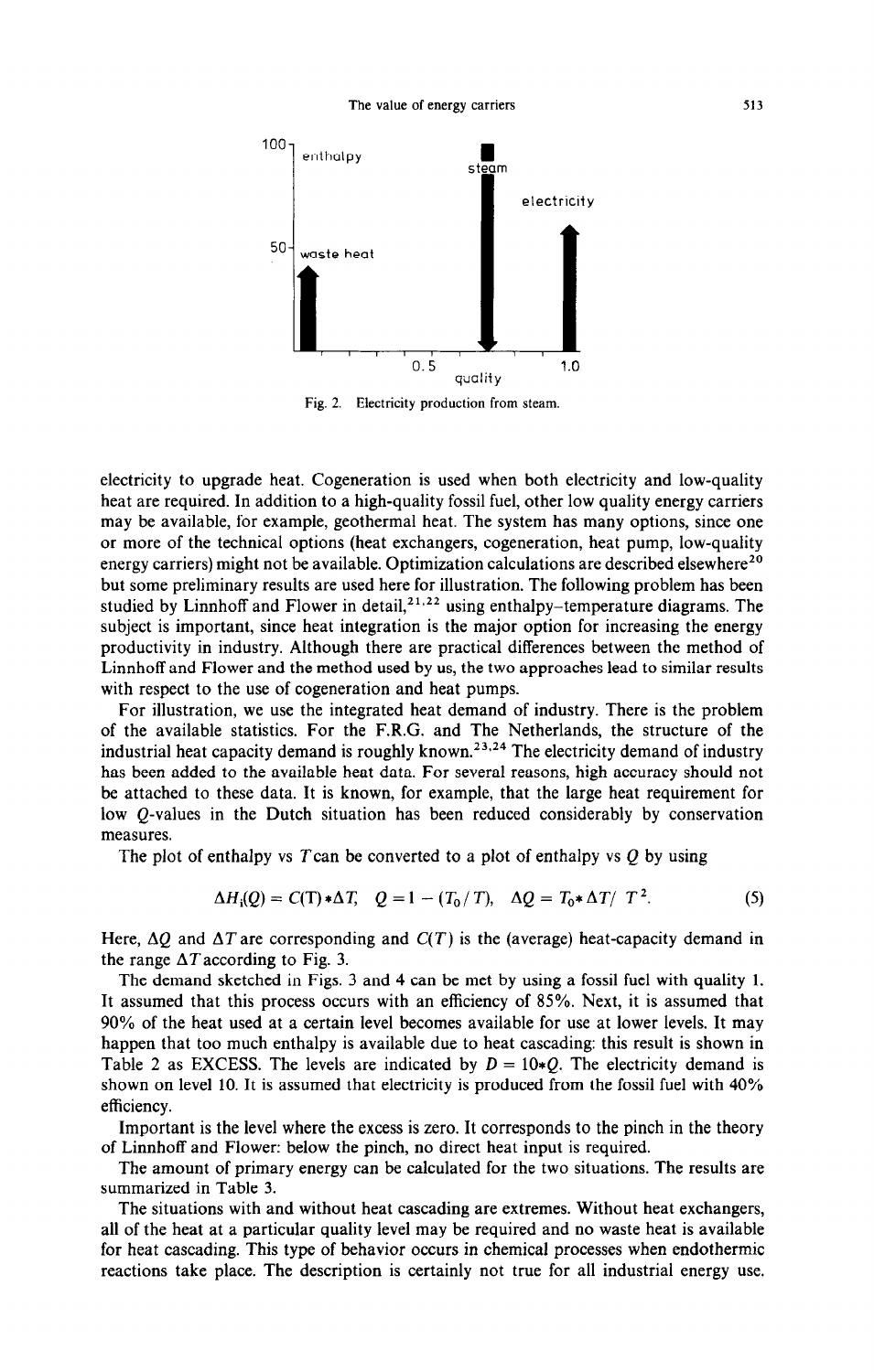

Fig. 2. Electricity production from steam.

electricity to upgrade heat. Cogeneration is used when both electricity and low-quality heat are required. In addition to a high-quality fossil fuel, other low quality energy carriers may be available, for example, geothermal heat. The system has many options, since one or more of the technical options (heat exchangers, cogeneration, heat pump, low-quality energy carriers) might not be available. Optimization calculations are described elsewhere<sup>20</sup> but some preliminary results are used here for illustration. The following problem has been studied by Linnhoff and Flower in detail, $2^{1,22}$  using enthalpy-temperature diagrams. The subject is important, since heat integration is the major option for increasing the energy productivity in industry. Although there are practical differences between the method of Linnhoff and Flower and the method used by us, the two approaches lead to similar results with respect to the use of cogeneration and heat pumps.

For illustration, we use the integrated heat demand of industry. There is the problem of the available statistics. For the F.R.G. and The Netherlands, the structure of the industrial heat capacity demand is roughly known.<sup>23,24</sup> The electricity demand of industry has been added to the available heat data. For several reasons, high accuracy should not be attached to these data. It is known, for example, that the large heat requirement for low Q-values in the Dutch situation has been reduced considerably by conservation measures.

The plot of enthalpy vs  $T$ can be converted to a plot of enthalpy vs  $Q$  by using

$$
\Delta H_i(Q) = C(T) * \Delta T, \quad Q = 1 - (T_0/T), \quad \Delta Q = T_0 * \Delta T / T^2. \tag{5}
$$

Here,  $\Delta Q$  and  $\Delta T$  are corresponding and  $C(T)$  is the (average) heat-capacity demand in the range  $\Delta T$  according to Fig. 3.

The demand sketched in Figs. 3 and 4 can be met by using a fossil fuel with quality 1. It assumed that this process occurs with an efficiency of 85%. Next, it is assumed that 90% of the heat used at a certain level becomes available for use at lower levels. It may happen that too much enthalpy is available due to heat cascading: this result is shown in Table 2 as EXCESS. The levels are indicated by  $D = 10*Q$ . The electricity demand is shown on level 10. It is assumed that electricity is produced from the fossil fuel with 40% efficiency.

Important is the level where the excess is zero. It corresponds to the pinch in the theory of Linnhoff and Flower: below the pinch, no direct heat input is required.

The amount of primary energy can be calculated for the two situations. The results are summarized in Table 3.

The situations with and without heat cascading are extremes. Without heat exchangers, all of the heat at a particular quality level may be required and no waste heat is available for heat cascading. This type of behavior occurs in chemical processes when endothermic reactions take place. The description is certainly not true for all industrial energy use.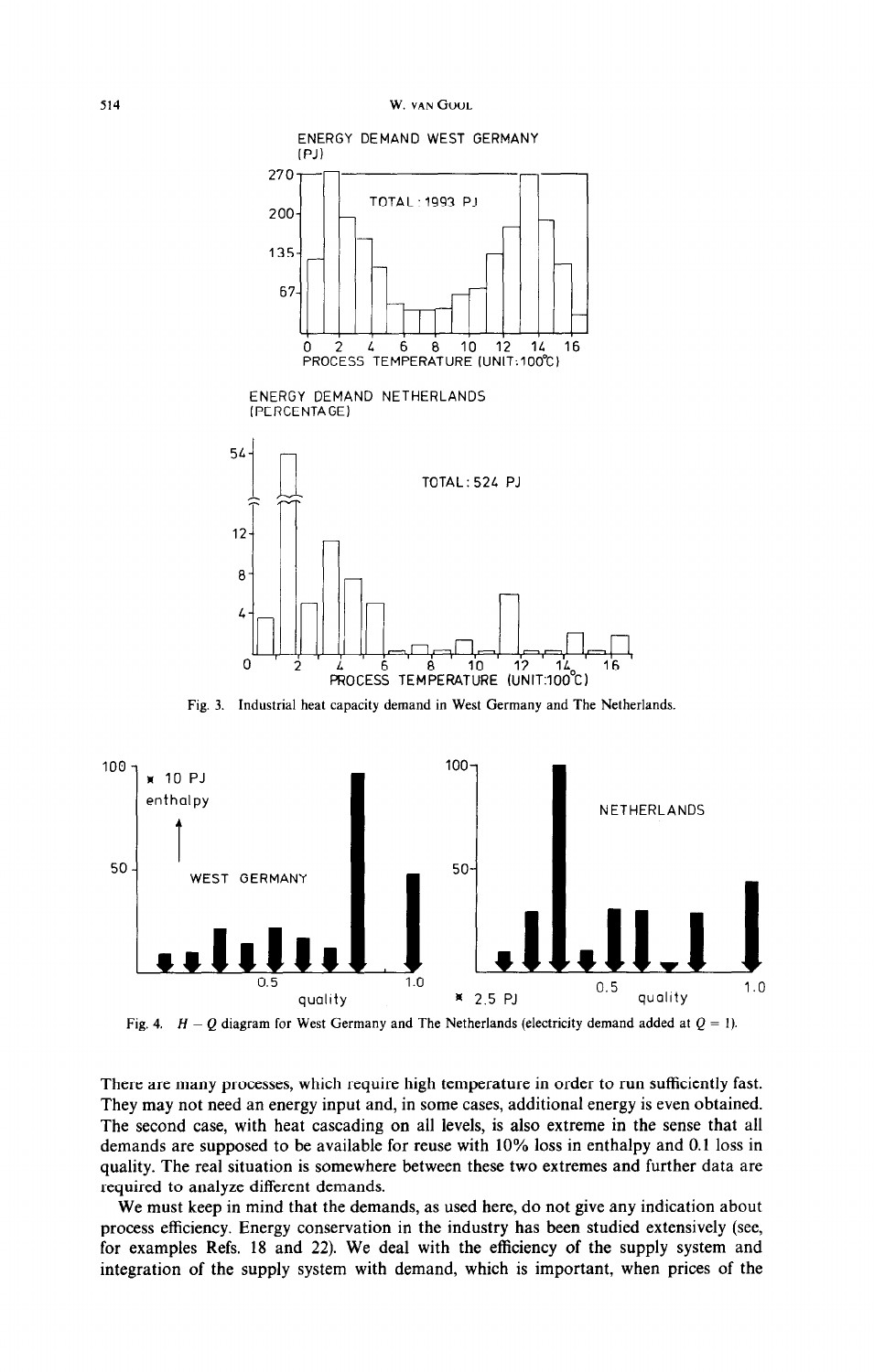

Fig. 3. Industrial heat capacity demand in West Germany and The Netherlands.



Fig. 4.  $H - Q$  diagram for West Germany and The Netherlands (electricity demand added at  $Q = 1$ ).

There are many processes, which require high temperature in order to run sufficiently fast. They may not need an energy input and, in some cases, additional energy is even obtained. The second case, with heat cascading on all levels, is also extreme in the sense that all demands are supposed to be available for reuse with 10% loss in enthalpy and 0.1 loss in quality. The real situation is somewhere between these two extremes and further data are required to analyze different demands.

We must keep in mind that the demands, as used here, do not give any indication about process efficiency. Energy conservation in the industry has been studied extensively (see, for examples Refs. 18 and 22). We deal with the efficiency of the supply system and integration of the supply system with demand, which is important, when prices of the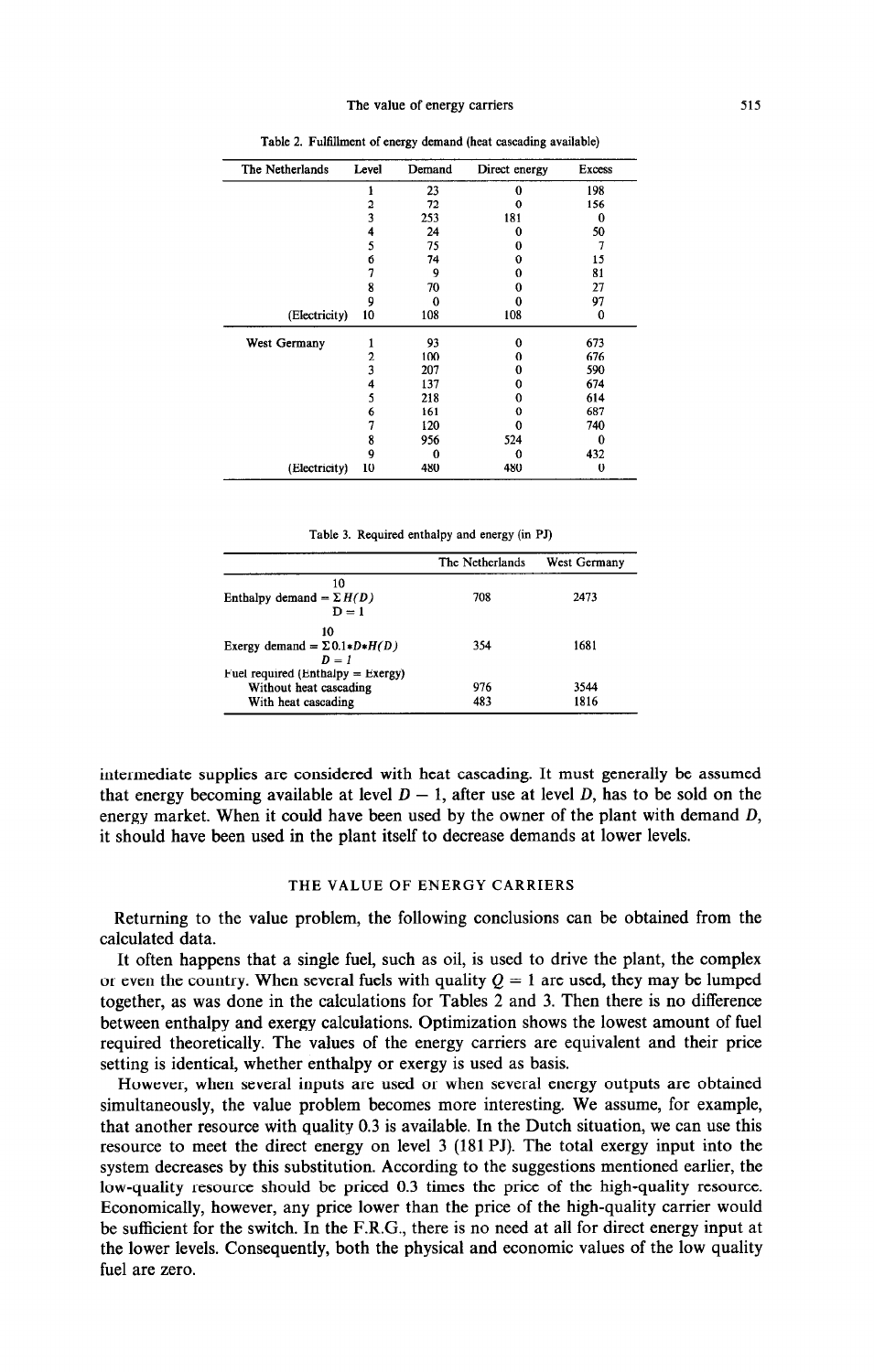### The value of energy carriers 515

| The Netherlands | Level | Demand | Direct energy | Excess |  |
|-----------------|-------|--------|---------------|--------|--|
|                 |       | 23     | 0             | 198    |  |
|                 | 2     | 72     | $\Omega$      | 156    |  |
|                 | 3     | 253    | 181           | 0      |  |
|                 | 4     | 24     | 0             | 50     |  |
|                 | 5     | 75     | 0             | 7      |  |
|                 | 6     | 74     | 0             | 15     |  |
|                 | 7     | 9      | 0             | 81     |  |
|                 | 8     | 70     | 0             | 27     |  |
|                 | 9     | 0      | 0             | 97     |  |
| (Electricity)   | 10    | 108    | 108           | 0      |  |
|                 |       |        |               |        |  |
| West Germany    | 1     | 93     | 0             | 673    |  |
|                 | 2     | 100    | 0             | 676    |  |
|                 | 3     | 207    | 0             | 590    |  |
|                 | 4     | 137    | 0             | 674    |  |
|                 | 5     | 218    | 0             | 614    |  |
|                 | 6     | 161    | 0             | 687    |  |
|                 | 7     | 120    | 0             | 740    |  |
|                 |       |        |               |        |  |
|                 | 8     | 956    | 524           | 0      |  |
|                 | 9     | 0      | 0             | 432    |  |

Table 2. Fultilhnent of energy demand (heat cascading available)

Table 3. Required enthalpy and energy (in PJ)

|                                         | The Netherlands | West Germany |
|-----------------------------------------|-----------------|--------------|
| 10                                      |                 |              |
| Enthalpy demand = $\Sigma H(D)$         | 708             | 2473         |
| $D = 1$                                 |                 |              |
| 10                                      |                 |              |
| Exergy demand = $\Sigma 0.1 * D * H(D)$ | 354             | 1681         |
| $D = 1$                                 |                 |              |
| Fuel required (Enthalpy $=$ Exergy)     |                 |              |
| Without heat cascading                  | 976             | 3544         |
| With heat cascading                     | 483             | 1816         |

intermediate supplies are considered with heat cascading. It must generally be assumed that energy becoming available at level  $D - 1$ , after use at level *D*, has to be sold on the energy market. When it could have been used by the owner of the plant with demand *D,*  it should have been used in the plant itself to decrease demands at lower levels.

## THE VALUE OF ENERGY CARRIERS

Returning to the value problem, the following conclusions can be obtained from the calculated data.

It often happens that a single fuel, such as oil, is used to drive the plant, the complex or even the country. When several fuels with quality  $Q = 1$  are used, they may be lumped together, as was done in the calculations for Tables 2 and 3. Then there is no difference between enthalpy and exergy calculations. Optimization shows the lowest amount of fuel required theoretically. The values of the energy carriers are equivalent and their price setting is identical, whether enthalpy or exergy is used as basis.

However, when several inputs are used or when several energy outputs are obtained simultaneously, the value problem becomes more interesting. We assume, for example, that another resource with quality 0.3 is available. In the Dutch situation, we can use this resource to meet the direct energy on level 3 (181 PJ). The total exergy input into the system decreases by this substitution. According to the suggestions mentioned earlier, the low-quality resource should be priced 0.3 times the price of the high-quality resource. Economically, however, any price lower than the price of the high-quality carrier would be sufficient for the switch. In the F.R.G., there is no need at all for direct energy input at the lower levels. Consequently, both the physical and economic values of the low quality fuel are zero.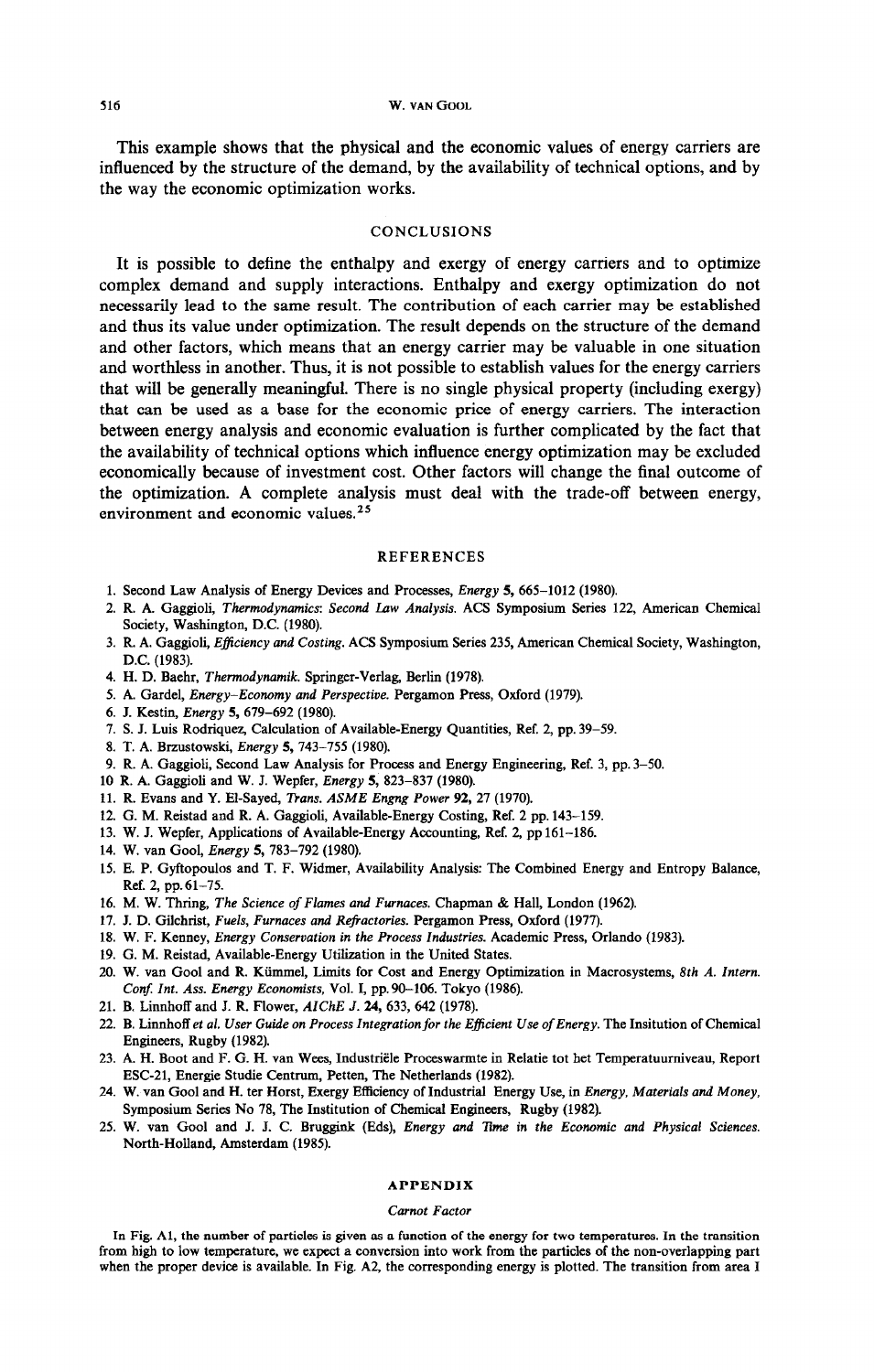516 W. **VANGOOL** 

This example shows that the physical and the economic values of energy carriers are influenced by the structure of the demand, by the availability of technical options, and by the way the economic optimization works.

### CONCLUSIONS

It is possible to define the enthalpy and exergy of energy carriers and to optimize complex demand and supply interactions. Enthalpy and exergy optimization do not necessarily lead to the same result. The contribution of each carrier may be established and thus its value under optimization. The result depends on the structure of the demand and other factors, which means that an energy carrier may be valuable in one situation and worthless in another. Thus, it is not possible to establish values for the energy carriers that will be generally meaningful. There is no single physical property (including exergy) that can be used as a base for the economic price of energy carriers. The interaction between energy analysis and economic evaluation is further complicated by the fact that the availability of technical options which influence energy optimization may be excluded economically because of investment cost. Other factors will change the final outcome of the optimization. A complete analysis must deal with the trade-off between energy, environment and economic values.<sup>25</sup>

#### REFERENCES

- 1. Second Law Analysis of Energy Devices and Processes, Energy 5, 665-1012 (1980).
- 2. R. A. Gaggioli, *Thermodynamics: Second Law Analysis.* ACS Symposium Series 122, American Chemical Society, Washington, DC. (1980).
- 3. R. A. Gaggioli, *Efficiency and Costing*. ACS Symposium Series 235, American Chemical Society, Washingto D.C. (1983).
- 4. H. D. Baehr, *Thermodynamik.* Springer-Verlag, Berlin (1978).
- 5. A. Gardel, Energy-Economy *and Perspective.* Pergamon Press, Oxford (1979).
- 6. J. Kestin, *Energy 5, 679-692 (1980).*
- I. *S.* J. Luis Rodriquez, Calculation of Available-Energy Quantities, Ref. 2, pp. 39-59.
- 8. T. A. Brzustowski, Energy 5, 743-755 (1980).
- 9. R. A. Gaggioli, Second Law Analysis for Process and Energy Engineering, Ref. 3, pp. 3-50.
- 10 R. A. Gaggioli and W. J. Wepfer, *Energy 5, 823-837 (1980).*
- 11. R. Evans and Y. El-Sayed, Trans. *ASME Engng Power 92, 27 (1970).*
- *12. G.* M. Reistad and R. A. Gaggioli, Available-Energy Costing, Ref. 2 pp. 143-159.
- 13. W. J. Wepfer, Applications of Available-Energy Accounting, Ref. 2, pp 161-186.
- 14. W. van Gool, *Energy 5,783-792 (1980).*
- *15.* E. P. Gyftopoulos and T. F. Widmer, Availability Analysis: The Combined Energy and Entropy Balance, Ref. 2, pp. 61-75.
- 16. M. W. Thring, The **Science of Flames** and Furnaces. Chapman & Hall, London (1962).
- 17. J. D. Gilchrist, *Fuels, Furnaces and Refractories.* Pergamon Press, Oxford (1977).
- 18. W. F. Kenney, *Energy Conservation in the Process Industries.* Academic Press, Orlando (1983).
- 19. G. M. Reistad, Available-Energy Utilization in the United States.
- 20. W. van Go01 and R. Kiimmel, Limits for Cost and Energy Optimization in Macrosystems, *8th A. Intern.*  Conf. Int. Ass. Energy Economists, Vol. I, pp. 90-106. Tokyo (1986).
- 21. B. Linnhoff and J. R. Flower, *AIChE .I. 24,* 633, 642 (1978).
- 22. B. Linnhoff et al. User Guide on Process Integration for the Efficient Use of *Energy*. The Insitution of Chemical Engineers, Rugby (1982).
- 23. A. H. Boot and F. G. H. van Wees, Industriele Proceswarmte in Relatie tot het Temperatuumiveau, Report ESC-21, Energie Studie Centrum, Petten, The Netherlands (1982).
- 24. W. van Go01 and H. ter Horst, Exergy Efficiency of Industrial Energy Use, in *Energy, Materials and Money,*  Symposium Series No 78, The Institution of Chemical Engineers, Rugby (1982).
- 25. W. van Go01 and J. J. C. Bruggink (Eds), *Energy and 7ime in rhe Economic and Physicnl* Sciences. North-Holland, Amsterdam (1985).

### APPENDIX

#### *Carnot Factor*

In Fig. Al, the number of particles is given as a function of the energy for two temperatures. In the transition from high to low temperature, we expect a conversion into work from the particles of the non-overlapping part when the proper device is available. In Fig. A2, the corresponding energy is plotted. The transition from area I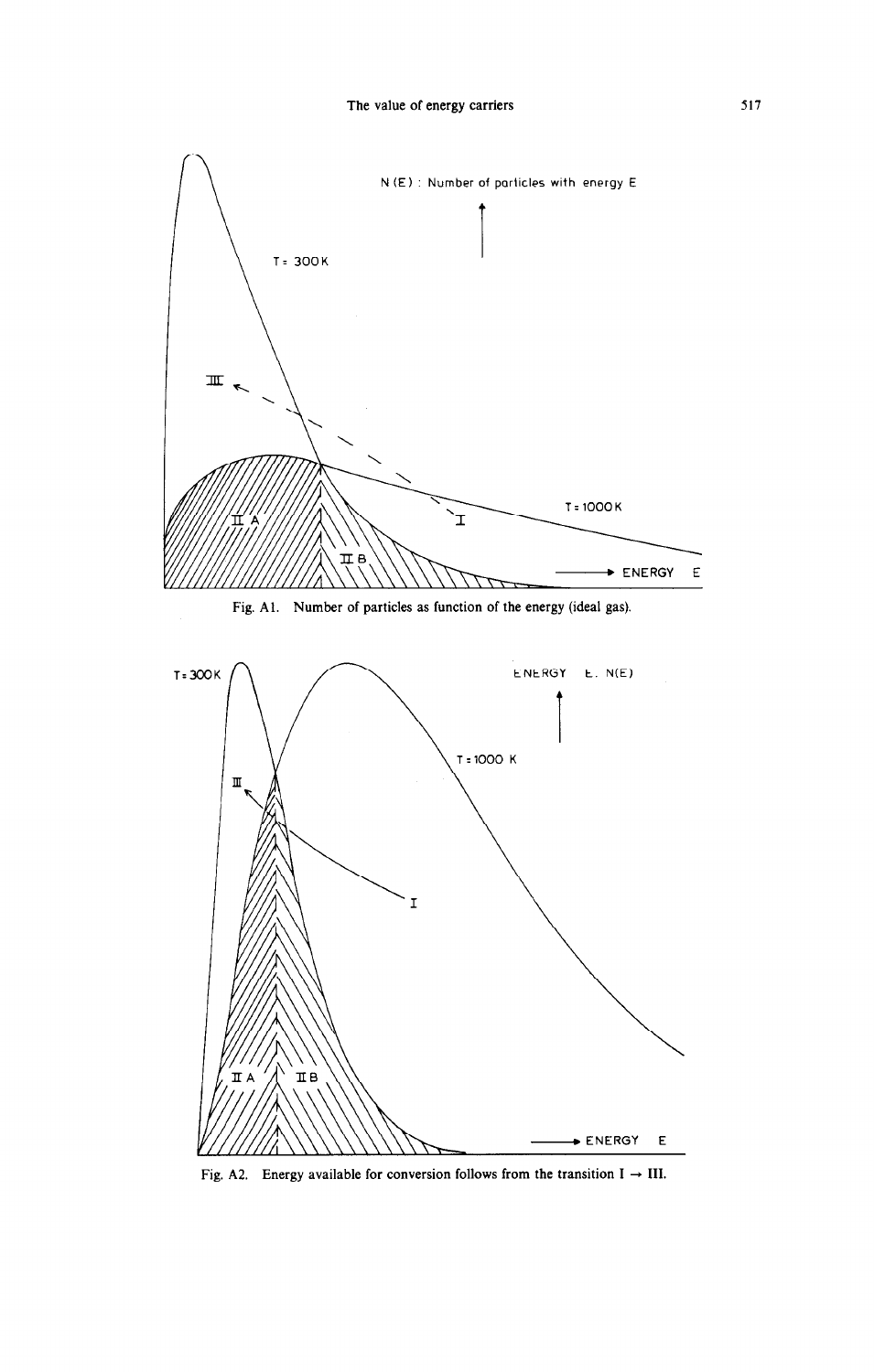

Fig. A2. Energy available for conversion follows from the transition  $I \rightarrow III$ .